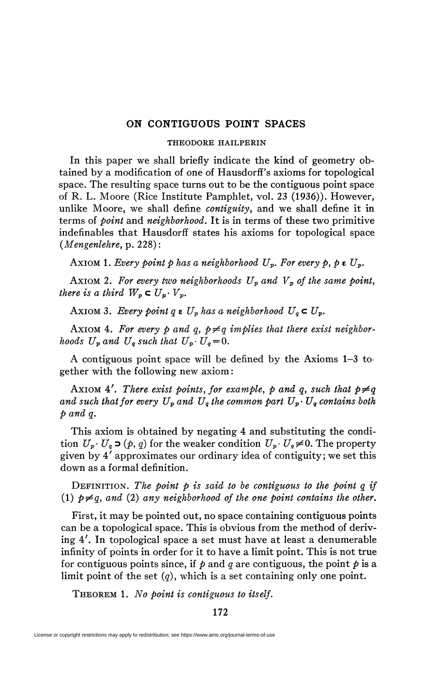## **ON CONTIGUOUS POINT SPACES**

## **THEODORE HAILPERIN**

In this paper we shall briefly indicate the kind of geometry obtained by a modification of one of Hausdorff's axioms for topological space. The resulting space turns out to be the contiguous point space of R. L. Moore (Rice Institute Pamphlet, vol. 23 (1936)). However, unlike Moore, we shall define *contiguity,* and we shall define it in terms of *point* and *neighborhood.* It is in terms of these two primitive indefinables that Hausdorfï states his axioms for topological space *(Mengenlehre,* p. 228) :

AXIOM 1. Every point p has a neighborhood  $U_p$ . For every p, p  $\epsilon U_p$ .

Axiom 2. For every two neighborhoods  $U_p$  and  $V_p$  of the same point, *there is a third*  $W_p \subset U_p \cdot V_p$ *.* 

Axiom 3. Every point  $q \in U_p$  has a neighborhood  $U_q \subset U_p$ .

Axiom 4. For every p and q,  $p \neq q$  implies that there exist neighbor*hoods*  $U_p$  and  $U_q$  such that  $U_p \cdot U_q = 0$ .

A contiguous point space will be defined by the Axioms 1-3 together with the following new axiom :

AXIOM 4'. There exist points, for example, p and q, such that  $p \neq q$ *and such that for every*  $U_p$  *and*  $U_q$  *the common part*  $U_p \cdot U_q$  *contains both p and q.* 

This axiom is obtained by negating 4 and substituting the condition  $U_p \cdot U_q \supset (p, q)$  for the weaker condition  $U_p \cdot U_q \neq 0$ . The property given by 4' approximates our ordinary idea of contiguity; we set this down as a formal definition.

DEFINITION. *The point p is said to be contiguous to the point q if*  (1)  $p \neq q$ , and (2) any neighborhood of the one point contains the other.

First, it may be pointed out, no space containing contiguous points can be a topological space. This is obvious from the method of deriving 4'. In topological space a set must have at least a denumerable infinity of points in order for it to have a limit point. This is not true for contiguous points since, if *p* and *q* are contiguous, the point *p* is a limit point of the set *(q),* which is a set containing only one point.

THEOREM 1. *No point is contiguous to itself.* 

172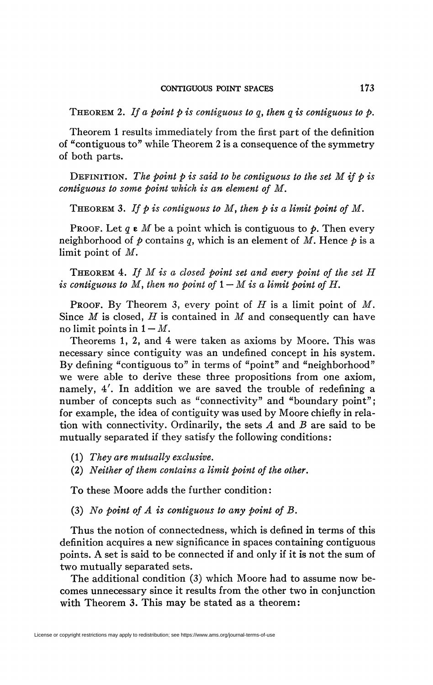THEOREM *2. If a point p is contiguous to q<sup>t</sup> then q is contiguous to p.* 

Theorem 1 results immediately from the first part of the definition of "contiguous to" while Theorem 2 is a consequence of the symmetry of both parts.

DEFINITION. The point  $p$  is said to be contiguous to the set  $M$  if  $p$  is *contiguous to some point which is an element of M.* 

THEOREM 3. *If pis contiguous to M, then p is a limit point of M.* 

PROOF. Let  $q \in M$  be a point which is contiguous to  $p$ . Then every neighborhood of  $p$  contains  $q$ , which is an element of  $M$ . Hence  $p$  is a limit point of *M.* 

THEOREM 4. *If M is a closed point set and every point of the set H is contiguous to M, then no point of*  $1 - M$  *is a limit point of H.* 

PROOF. By Theorem 3, every point of *H* is a limit point of *M*. Since *M* is closed, *H* is contained in *M* and consequently can have no limit points in  $1 - M$ .

Theorems 1, 2, and 4 were taken as axioms by Moore. This was necessary since contiguity was an undefined concept in his system. By defining "contiguous to" in terms of "point" and "neighborhood" we were able to derive these three propositions from one axiom, namely, 4'. In addition we are saved the trouble of redefining a number of concepts such as "connectivity" and "boundary point"; for example, the idea of contiguity was used by Moore chiefly in relation with connectivity. Ordinarily, the sets *A* and *B* are said to be mutually separated if they satisfy the following conditions:

- (1) *They are mutually exclusive.*
- (2) *Neither of them contains a limit point of the other.*

To these Moore adds the further condition:

(3) *No point of A is contiguous to any point of B.* 

Thus the notion of connectedness, which is defined in terms of this definition acquires a new significance in spaces containing contiguous points. A set is said to be connected if and only if it is not the sum of two mutually separated sets.

The additional condition (3) which Moore had to assume now becomes unnecessary since it results from the other two in conjunction with Theorem 3. This may be stated as a theorem: